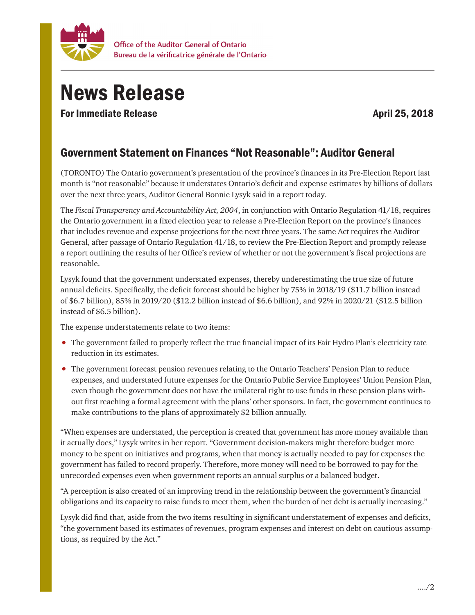

## News Release

For Immediate Release April 25, 2018

## Government Statement on Finances "Not Reasonable": Auditor General

(TORONTO) The Ontario government's presentation of the province's finances in its Pre-Election Report last month is "not reasonable" because it understates Ontario's deficit and expense estimates by billions of dollars over the next three years, Auditor General Bonnie Lysyk said in a report today.

The *Fiscal Transparency and Accountability Act, 2004*, in conjunction with Ontario Regulation 41/18, requires the Ontario government in a fixed election year to release a Pre-Election Report on the province's finances that includes revenue and expense projections for the next three years. The same Act requires the Auditor General, after passage of Ontario Regulation 41/18, to review the Pre-Election Report and promptly release a report outlining the results of her Office's review of whether or not the government's fiscal projections are reasonable.

Lysyk found that the government understated expenses, thereby underestimating the true size of future annual deficits. Specifically, the deficit forecast should be higher by 75% in 2018/19 (\$11.7 billion instead of \$6.7 billion), 85% in 2019/20 (\$12.2 billion instead of \$6.6 billion), and 92% in 2020/21 (\$12.5 billion instead of \$6.5 billion).

The expense understatements relate to two items:

- The government failed to properly reflect the true financial impact of its Fair Hydro Plan's electricity rate reduction in its estimates.
- The government forecast pension revenues relating to the Ontario Teachers' Pension Plan to reduce expenses, and understated future expenses for the Ontario Public Service Employees' Union Pension Plan, even though the government does not have the unilateral right to use funds in these pension plans without first reaching a formal agreement with the plans' other sponsors. In fact, the government continues to make contributions to the plans of approximately \$2 billion annually.

"When expenses are understated, the perception is created that government has more money available than it actually does," Lysyk writes in her report. "Government decision-makers might therefore budget more money to be spent on initiatives and programs, when that money is actually needed to pay for expenses the government has failed to record properly. Therefore, more money will need to be borrowed to pay for the unrecorded expenses even when government reports an annual surplus or a balanced budget.

"A perception is also created of an improving trend in the relationship between the government's financial obligations and its capacity to raise funds to meet them, when the burden of net debt is actually increasing."

Lysyk did find that, aside from the two items resulting in significant understatement of expenses and deficits, "the government based its estimates of revenues, program expenses and interest on debt on cautious assumptions, as required by the Act."